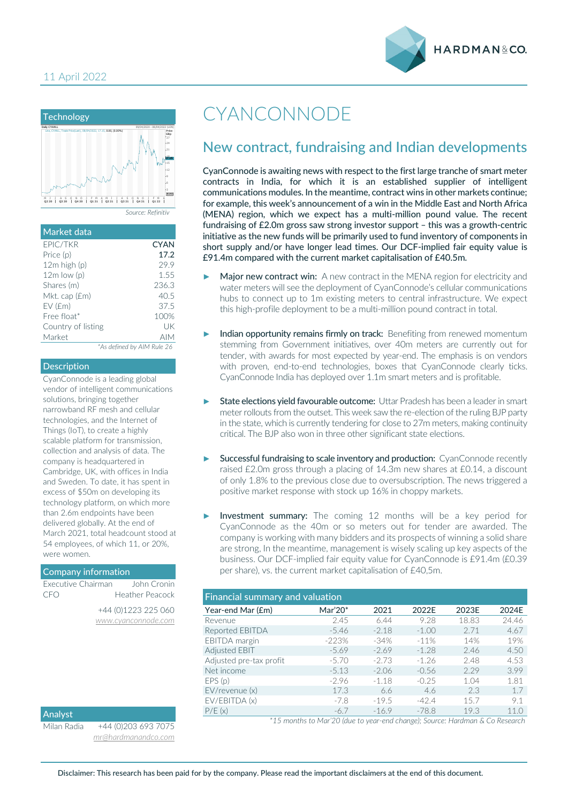



| Market data        |                            |
|--------------------|----------------------------|
| EPIC/TKR           | <b>CYAN</b>                |
| Price (p)          | 17.2                       |
| $12m$ high $(p)$   | 29.9                       |
| $12m$ low (p)      | 1.55                       |
| Shares (m)         | 236.3                      |
| Mkt. cap (£m)      | 40.5                       |
| $EV$ ( $Em$ )      | 37.5                       |
| $Free$ float $*$   | 100%                       |
| Country of listing | UK                         |
| Market             | <b>AIM</b>                 |
|                    | *As defined by AIM Rule 26 |

#### Description

CyanConnode is a leading global vendor of intelligent communications solutions, bringing together narrowband RF mesh and cellular technologies, and the Internet of Things (IoT), to create a highly scalable platform for transmission, collection and analysis of data. The company is headquartered in Cambridge, UK, with offices in India and Sweden. To date, it has spent in excess of \$50m on developing its technology platform, on which more than 2.6m endpoints have been delivered globally. At the end of March 2021, total headcount stood at 54 employees, of which 11, or 20%, were women.

#### Company information

| Executive Chairman | John Cronin         |
|--------------------|---------------------|
| CEO                | Heather Peacock     |
|                    | +44 (0)1223 225 060 |
|                    | www.cyanconnode.com |

| Analyst     |                 |
|-------------|-----------------|
| Milan Radia | +44 (0) 203 693 |
|             | mr@hardmanandc  |

 $\overline{7075}$ *[mr@hardmanandco.com](mailto:mr@hardmanandco.com)*

## CYANCONNODE

### New contract, fundraising and Indian developments

CyanConnode is awaiting news with respect to the first large tranche of smart meter contracts in India, for which it is an established supplier of intelligent communications modules. In the meantime, contract wins in other markets continue; for example, this week's announcement of a win in the Middle East and North Africa (MENA) region, which we expect has a multi-million pound value. The recent fundraising of £2.0m gross saw strong investor support – this was a growth-centric initiative as the new funds will be primarily used to fund inventory of components in short supply and/or have longer lead times. Our DCF-implied fair equity value is £91.4m compared with the current market capitalisation of £40.5m.

- Major new contract win: A new contract in the MENA region for electricity and water meters will see the deployment of CyanConnode's cellular communications hubs to connect up to 1m existing meters to central infrastructure. We expect this high-profile deployment to be a multi-million pound contract in total.
- Indian opportunity remains firmly on track: Benefiting from renewed momentum stemming from Government initiatives, over 40m meters are currently out for tender, with awards for most expected by year-end. The emphasis is on vendors with proven, end-to-end technologies, boxes that CyanConnode clearly ticks. CyanConnode India has deployed over 1.1m smart meters and is profitable.
- State elections yield favourable outcome: Uttar Pradesh has been a leader in smart meter rollouts from the outset. This week saw the re-election of the ruling BJP party in the state, which is currently tendering for close to 27m meters, making continuity critical. The BJP also won in three other significant state elections.
- Successful fundraising to scale inventory and production: CyanConnode recently raised £2.0m gross through a placing of 14.3m new shares at £0.14, a discount of only 1.8% to the previous close due to oversubscription. The news triggered a positive market response with stock up 16% in choppy markets.
- Investment summary: The coming 12 months will be a key period for CyanConnode as the 40m or so meters out for tender are awarded. The company is working with many bidders and its prospects of winning a solid share are strong, In the meantime, management is wisely scaling up key aspects of the business. Our DCF-implied fair equity value for CyanConnode is £91.4m (£0.39 per share), vs. the current market capitalisation of £40,5m.

| <b>Financial summary and valuation</b> |         |         |         |       |       |  |  |  |
|----------------------------------------|---------|---------|---------|-------|-------|--|--|--|
| Year-end Mar (£m)                      | Mar'20* | 2021    | 2022E   | 2023E | 2024E |  |  |  |
| Revenue                                | 2.45    | 6.44    | 9.28    | 18.83 | 24.46 |  |  |  |
| Reported EBITDA                        | $-5.46$ | $-2.18$ | $-1.00$ | 2.71  | 4.67  |  |  |  |
| <b>EBITDA</b> margin                   | $-223%$ | $-34\%$ | $-11%$  | 14%   | 19%   |  |  |  |
| Adjusted EBIT                          | $-5.69$ | $-2.69$ | $-1.28$ | 2.46  | 4.50  |  |  |  |
| Adjusted pre-tax profit                | $-5.70$ | $-2.73$ | $-1.26$ | 2.48  | 4.53  |  |  |  |
| Net income                             | $-5.13$ | $-2.06$ | $-0.56$ | 2.29  | 3.99  |  |  |  |
| EPS(p)                                 | $-2.96$ | $-1.18$ | $-0.25$ | 1.04  | 1.81  |  |  |  |
| $EV$ /revenue $(x)$                    | 17.3    | 6.6     | 4.6     | 23    | 1.7   |  |  |  |
| EV/EBITDA (x)                          | $-7.8$  | $-19.5$ | $-42.4$ | 15.7  | 9.1   |  |  |  |
| P/E(x)                                 | $-6.7$  | $-16.9$ | $-78.8$ | 19.3  | 11.0  |  |  |  |

*\*15 months to Mar'20 (due to year-end change); Source: Hardman & Co Research*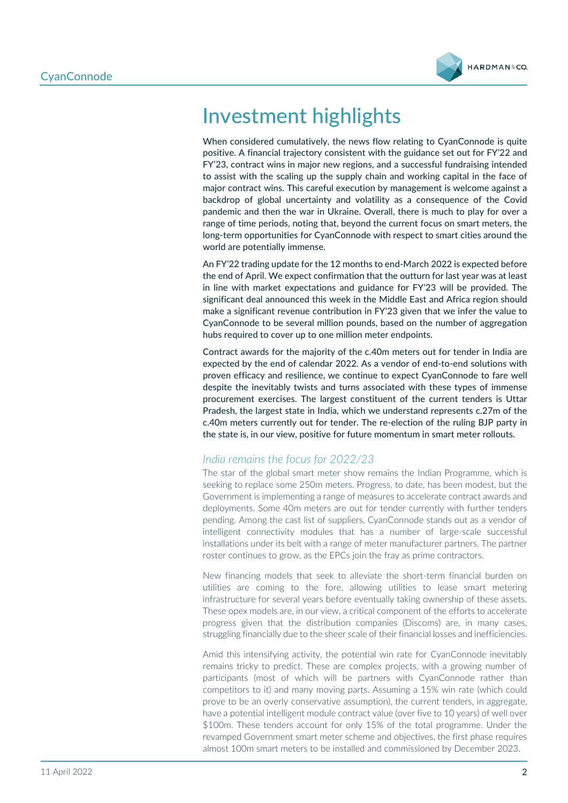

# Investment highlights

When considered cumulatively, the news flow relating to CyanConnode is quite positive. A financial trajectory consistent with the guidance set out for FY'22 and FY'23, contract wins in major new regions, and a successful fundraising intended to assist with the scaling up the supply chain and working capital in the face of major contract wins. This careful execution by management is welcome against a backdrop of global uncertainty and volatility as a consequence of the Covid pandemic and then the war in Ukraine. Overall, there is much to play for over a range of time periods, noting that, beyond the current focus on smart meters, the long-term opportunities for CyanConnode with respect to smart cities around the world are potentially immense.

An FY'22 trading update for the 12 months to end-March 2022 is expected before the end of April. We expect confirmation that the outturn for last year was at least in line with market expectations and guidance for FY'23 will be provided. The significant deal announced this week in the Middle East and Africa region should make a significant revenue contribution in FY'23 given that we infer the value to CyanConnode to be several million pounds, based on the number of aggregation hubs required to cover up to one million meter endpoints.

Contract awards for the majority of the c.40m meters out for tender in India are expected by the end of calendar 2022. As a vendor of end-to-end solutions with proven efficacy and resilience, we continue to expect CyanConnode to fare well despite the inevitably twists and turns associated with these types of immense procurement exercises. The largest constituent of the current tenders is Uttar Pradesh, the largest state in India, which we understand represents c.27m of the c.40m meters currently out for tender. The re-election of the ruling BJP party in the state is, in our view, positive for future momentum in smart meter rollouts.

#### *India remains the focus for 2022/23*

The star of the global smart meter show remains the Indian Programme, which is seeking to replace some 250m meters. Progress, to date, has been modest, but the Government is implementing a range of measures to accelerate contract awards and deployments. Some 40m meters are out for tender currently with further tenders pending. Among the cast list of suppliers, CyanConnode stands out as a vendor of intelligent connectivity modules that has a number of large-scale successful installations under its belt with a range of meter manufacturer partners. The partner roster continues to grow, as the EPCs join the fray as prime contractors.

New financing models that seek to alleviate the short-term financial burden on utilities are coming to the fore, allowing utilities to lease smart metering infrastructure for several years before eventually taking ownership of these assets. These opex models are, in our view, a critical component of the efforts to accelerate progress given that the distribution companies (Discoms) are, in many cases, struggling financially due to the sheer scale of their financial losses and inefficiencies.

Amid this intensifying activity, the potential win rate for CyanConnode inevitably remains tricky to predict. These are complex projects, with a growing number of participants (most of which will be partners with CyanConnode rather than competitors to it) and many moving parts. Assuming a 15% win rate (which could prove to be an overly conservative assumption), the current tenders, in aggregate, have a potential intelligent module contract value (over five to 10 years) of well over \$100m. These tenders account for only 15% of the total programme. Under the revamped Government smart meter scheme and objectives, the first phase requires almost 100m smart meters to be installed and commissioned by December 2023.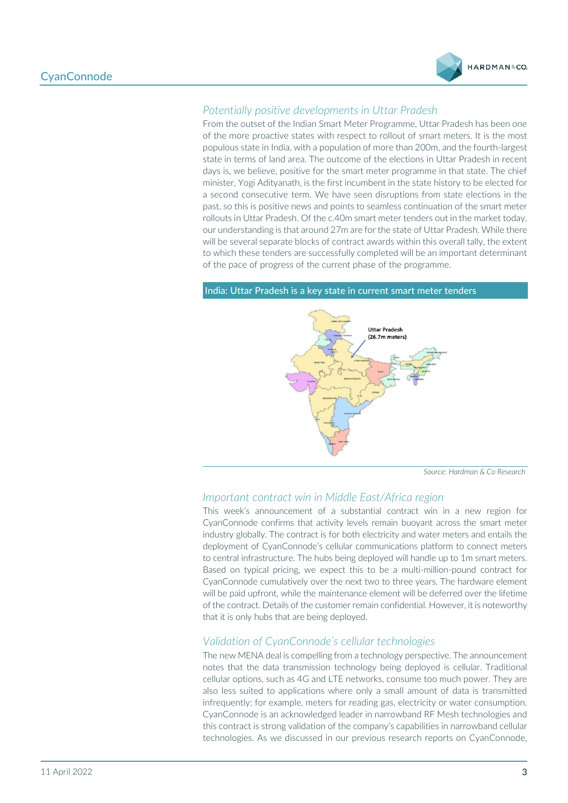

#### *Potentially positive developments in Uttar Pradesh*

From the outset of the Indian Smart Meter Programme, Uttar Pradesh has been one of the more proactive states with respect to rollout of smart meters. It is the most populous state in India, with a population of more than 200m, and the fourth-largest state in terms of land area. The outcome of the elections in Uttar Pradesh in recent days is, we believe, positive for the smart meter programme in that state. The chief minister, Yogi Adityanath, is the first incumbent in the state history to be elected for a second consecutive term. We have seen disruptions from state elections in the past, so this is positive news and points to seamless continuation of the smart meter rollouts in Uttar Pradesh. Of the c.40m smart meter tenders out in the market today, our understanding is that around 27m are for the state of Uttar Pradesh. While there will be several separate blocks of contract awards within this overall tally, the extent to which these tenders are successfully completed will be an important determinant of the pace of progress of the current phase of the programme.

# **Uttar Pradesh** (26.7m meters)

India: Uttar Pradesh is a key state in current smart meter tenders

*Source: Hardman & Co Research* 

#### *Important contract win in Middle East/Africa region*

This week's announcement of a substantial contract win in a new region for CyanConnode confirms that activity levels remain buoyant across the smart meter industry globally. The contract is for both electricity and water meters and entails the deployment of CyanConnode's cellular communications platform to connect meters to central infrastructure. The hubs being deployed will handle up to 1m smart meters. Based on typical pricing, we expect this to be a multi-million-pound contract for CyanConnode cumulatively over the next two to three years. The hardware element will be paid upfront, while the maintenance element will be deferred over the lifetime of the contract. Details of the customer remain confidential. However, it is noteworthy that it is only hubs that are being deployed.

#### *Validation of CyanConnode's cellular technologies*

The new MENA deal is compelling from a technology perspective. The announcement notes that the data transmission technology being deployed is cellular. Traditional cellular options, such as 4G and LTE networks, consume too much power. They are also less suited to applications where only a small amount of data is transmitted infrequently; for example, meters for reading gas, electricity or water consumption. CyanConnode is an acknowledged leader in narrowband RF Mesh technologies and this contract is strong validation of the company's capabilities in narrowband cellular technologies. As we discussed in our previous research reports on CyanConnode,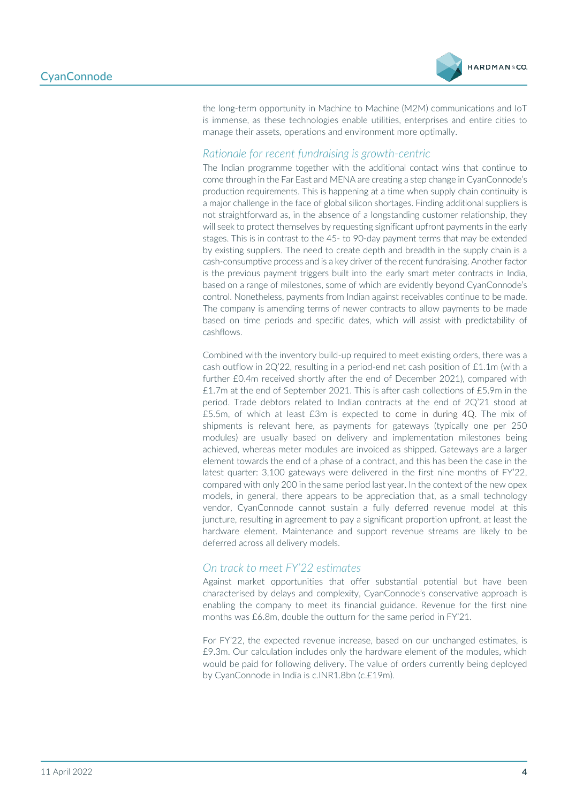

the long-term opportunity in Machine to Machine (M2M) communications and IoT is immense, as these technologies enable utilities, enterprises and entire cities to manage their assets, operations and environment more optimally.

#### *Rationale for recent fundraising is growth-centric*

The Indian programme together with the additional contact wins that continue to come through in the Far East and MENA are creating a step change in CyanConnode's production requirements. This is happening at a time when supply chain continuity is a major challenge in the face of global silicon shortages. Finding additional suppliers is not straightforward as, in the absence of a longstanding customer relationship, they will seek to protect themselves by requesting significant upfront payments in the early stages. This is in contrast to the 45- to 90-day payment terms that may be extended by existing suppliers. The need to create depth and breadth in the supply chain is a cash-consumptive process and is a key driver of the recent fundraising. Another factor is the previous payment triggers built into the early smart meter contracts in India, based on a range of milestones, some of which are evidently beyond CyanConnode's control. Nonetheless, payments from Indian against receivables continue to be made. The company is amending terms of newer contracts to allow payments to be made based on time periods and specific dates, which will assist with predictability of cashflows.

Combined with the inventory build-up required to meet existing orders, there was a cash outflow in  $2Q'22$ , resulting in a period-end net cash position of £1.1m (with a further £0.4m received shortly after the end of December 2021), compared with £1.7m at the end of September 2021. This is after cash collections of £5.9m in the period. Trade debtors related to Indian contracts at the end of 2Q'21 stood at £5.5m, of which at least £3m is expected to come in during 4Q. The mix of shipments is relevant here, as payments for gateways (typically one per 250 modules) are usually based on delivery and implementation milestones being achieved, whereas meter modules are invoiced as shipped. Gateways are a larger element towards the end of a phase of a contract, and this has been the case in the latest quarter: 3,100 gateways were delivered in the first nine months of FY'22, compared with only 200 in the same period last year. In the context of the new opex models, in general, there appears to be appreciation that, as a small technology vendor, CyanConnode cannot sustain a fully deferred revenue model at this juncture, resulting in agreement to pay a significant proportion upfront, at least the hardware element. Maintenance and support revenue streams are likely to be deferred across all delivery models.

#### *On track to meet FY'22 estimates*

Against market opportunities that offer substantial potential but have been characterised by delays and complexity, CyanConnode's conservative approach is enabling the company to meet its financial guidance. Revenue for the first nine months was £6.8m, double the outturn for the same period in FY'21.

For FY'22, the expected revenue increase, based on our unchanged estimates, is £9.3m. Our calculation includes only the hardware element of the modules, which would be paid for following delivery. The value of orders currently being deployed by CyanConnode in India is c.INR1.8bn (c.£19m).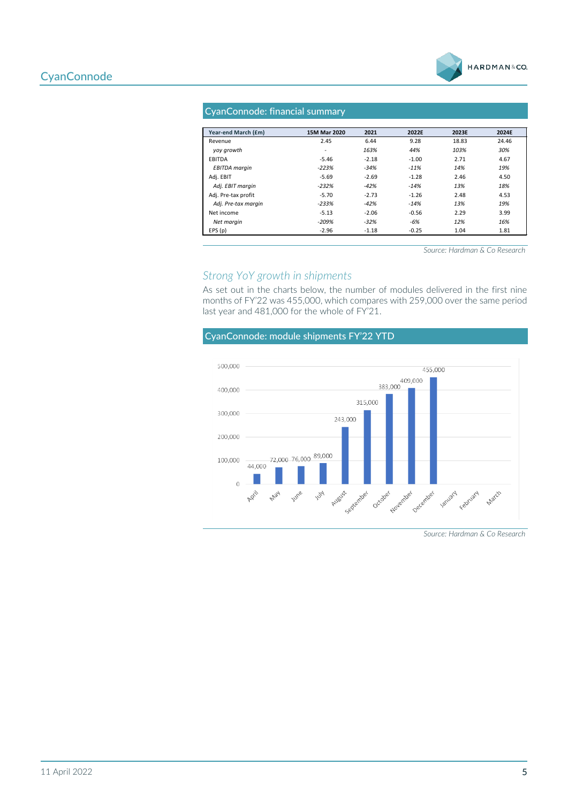

#### CyanConnode: financial summary

| Year-end March (£m)  | 15M Mar 2020             | 2021    | 2022E   | 2023E | 2024E |
|----------------------|--------------------------|---------|---------|-------|-------|
| Revenue              | 2.45                     | 6.44    | 9.28    | 18.83 | 24.46 |
| yoy growth           | $\overline{\phantom{0}}$ | 163%    | 44%     | 103%  | 30%   |
| EBITDA               | $-5.46$                  | $-2.18$ | $-1.00$ | 2.71  | 4.67  |
| <b>EBITDA</b> margin | $-223%$                  | $-34%$  | $-11%$  | 14%   | 19%   |
| Adi. EBIT            | $-5.69$                  | $-2.69$ | $-1.28$ | 2.46  | 4.50  |
| Adj. EBIT margin     | $-232%$                  | $-42%$  | $-14%$  | 13%   | 18%   |
| Adj. Pre-tax profit  | $-5.70$                  | $-2.73$ | $-1.26$ | 2.48  | 4.53  |
| Adj. Pre-tax margin  | $-233%$                  | $-42%$  | $-14%$  | 13%   | 19%   |
| Net income           | $-5.13$                  | $-2.06$ | $-0.56$ | 2.29  | 3.99  |
| Net margin           | $-209%$                  | $-32%$  | -6%     | 12%   | 16%   |
| EPS(p)               | $-2.96$                  | $-1.18$ | $-0.25$ | 1.04  | 1.81  |

*Source: Hardman & Co Research* 

#### *Strong YoY growth in shipments*

As set out in the charts below, the number of modules delivered in the first nine months of FY'22 was 455,000, which compares with 259,000 over the same period last year and 481,000 for the whole of FY'21.

#### CyanConnode: module shipments FY'22 YTD



*Source: Hardman & Co Research*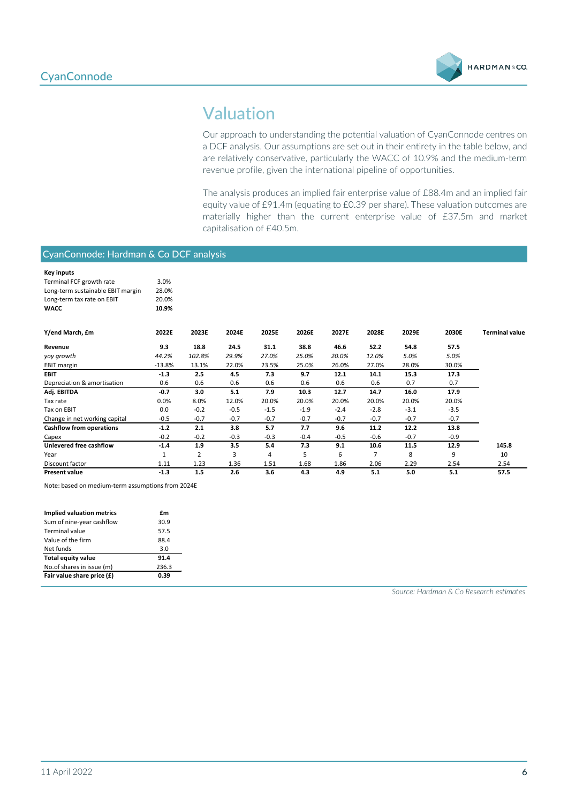

## Valuation

Our approach to understanding the potential valuation of CyanConnode centres on a DCF analysis. Our assumptions are set out in their entirety in the table below, and are relatively conservative, particularly the WACC of 10.9% and the medium-term revenue profile, given the international pipeline of opportunities.

The analysis produces an implied fair enterprise value of £88.4m and an implied fair equity value of £91.4m (equating to £0.39 per share). These valuation outcomes are materially higher than the current enterprise value of £37.5m and market capitalisation of £40.5m.

#### CyanConnode: Hardman & Co DCF analysis

| <b>Key inputs</b>                 |          |        |        |        |        |        |        |        |        |                       |
|-----------------------------------|----------|--------|--------|--------|--------|--------|--------|--------|--------|-----------------------|
| Terminal FCF growth rate          | 3.0%     |        |        |        |        |        |        |        |        |                       |
| Long-term sustainable EBIT margin | 28.0%    |        |        |        |        |        |        |        |        |                       |
| Long-term tax rate on EBIT        | 20.0%    |        |        |        |        |        |        |        |        |                       |
| <b>WACC</b>                       | 10.9%    |        |        |        |        |        |        |        |        |                       |
| Y/end March, £m                   | 2022E    | 2023E  | 2024E  | 2025E  | 2026E  | 2027E  | 2028E  | 2029E  | 2030E  | <b>Terminal value</b> |
| Revenue                           | 9.3      | 18.8   | 24.5   | 31.1   | 38.8   | 46.6   | 52.2   | 54.8   | 57.5   |                       |
| yoy growth                        | 44.2%    | 102.8% | 29.9%  | 27.0%  | 25.0%  | 20.0%  | 12.0%  | 5.0%   | 5.0%   |                       |
| <b>EBIT margin</b>                | $-13.8%$ | 13.1%  | 22.0%  | 23.5%  | 25.0%  | 26.0%  | 27.0%  | 28.0%  | 30.0%  |                       |
| EBIT                              | $-1.3$   | 2.5    | 4.5    | 7.3    | 9.7    | 12.1   | 14.1   | 15.3   | 17.3   |                       |
| Depreciation & amortisation       | 0.6      | 0.6    | 0.6    | 0.6    | 0.6    | 0.6    | 0.6    | 0.7    | 0.7    |                       |
| Adj. EBITDA                       | $-0.7$   | 3.0    | 5.1    | 7.9    | 10.3   | 12.7   | 14.7   | 16.0   | 17.9   |                       |
| Tax rate                          | 0.0%     | 8.0%   | 12.0%  | 20.0%  | 20.0%  | 20.0%  | 20.0%  | 20.0%  | 20.0%  |                       |
| Tax on EBIT                       | 0.0      | $-0.2$ | $-0.5$ | $-1.5$ | $-1.9$ | $-2.4$ | $-2.8$ | $-3.1$ | $-3.5$ |                       |
| Change in net working capital     | $-0.5$   | $-0.7$ | $-0.7$ | $-0.7$ | $-0.7$ | $-0.7$ | $-0.7$ | $-0.7$ | $-0.7$ |                       |
| <b>Cashflow from operations</b>   | $-1.2$   | 2.1    | 3.8    | 5.7    | 7.7    | 9.6    | 11.2   | 12.2   | 13.8   |                       |
| Capex                             | $-0.2$   | $-0.2$ | $-0.3$ | $-0.3$ | $-0.4$ | $-0.5$ | $-0.6$ | $-0.7$ | $-0.9$ |                       |
| Unlevered free cashflow           | $-1.4$   | 1.9    | 3.5    | 5.4    | 7.3    | 9.1    | 10.6   | 11.5   | 12.9   | 145.8                 |
| Year                              | 1        | 2      | 3      | 4      | 5      | 6      | 7      | 8      | 9      | 10                    |
| Discount factor                   | 1.11     | 1.23   | 1.36   | 1.51   | 1.68   | 1.86   | 2.06   | 2.29   | 2.54   | 2.54                  |
| <b>Present value</b>              | $-1.3$   | 1.5    | 2.6    | 3.6    | 4.3    | 4.9    | 5.1    | 5.0    | 5.1    | 57.5                  |

Note: based on medium-term assumptions from 2024E

| <b>Implied valuation metrics</b> | £m    |
|----------------------------------|-------|
| Sum of nine-year cashflow        | 30.9  |
| Terminal value                   | 57.5  |
| Value of the firm                | 88.4  |
| Net funds                        | 3.0   |
| <b>Total equity value</b>        | 91.4  |
| No.of shares in issue (m)        | 236.3 |
| Fair value share price (£)       | 0.39  |

*Source: Hardman & Co Research estimates*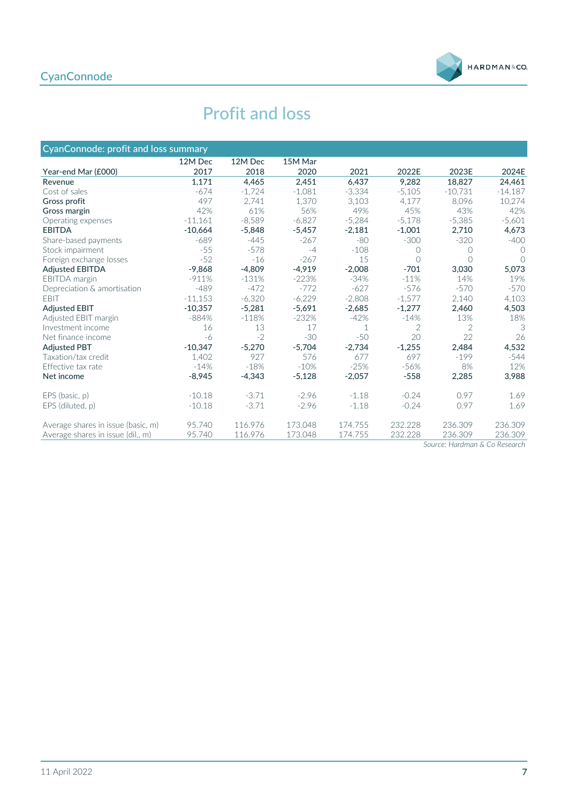#### **CyanConnode**



## Profit and loss

| CyanConnode: profit and loss summary |           |          |          |          |                |                |           |
|--------------------------------------|-----------|----------|----------|----------|----------------|----------------|-----------|
|                                      | 12M Dec   | 12M Dec  | 15M Mar  |          |                |                |           |
| Year-end Mar (£000)                  | 2017      | 2018     | 2020     | 2021     | 2022E          | 2023E          | 2024E     |
| Revenue                              | 1.171     | 4.465    | 2.451    | 6.437    | 9.282          | 18.827         | 24,461    |
| Cost of sales                        | $-674$    | $-1.724$ | $-1.081$ | $-3.334$ | $-5.105$       | $-10.731$      | $-14,187$ |
| Gross profit                         | 497       | 2.741    | 1.370    | 3,103    | 4.177          | 8,096          | 10,274    |
| Gross margin                         | 42%       | 61%      | 56%      | 49%      | 45%            | 43%            | 42%       |
| Operating expenses                   | $-11,161$ | $-8,589$ | $-6,827$ | $-5,284$ | $-5,178$       | $-5,385$       | $-5,601$  |
| <b>EBITDA</b>                        | $-10,664$ | $-5,848$ | $-5,457$ | $-2.181$ | $-1,001$       | 2.710          | 4,673     |
| Share-based payments                 | $-689$    | $-445$   | $-267$   | $-80$    | $-300$         | $-320$         | $-400$    |
| Stock impairment                     | $-55$     | $-578$   | $-4$     | $-108$   | $\bigcap$      | $\bigcirc$     | $\bigcap$ |
| Foreign exchange losses              | $-52$     | $-16$    | $-267$   | 15       | $\bigcap$      | $\bigcap$      | $\bigcap$ |
| <b>Adjusted EBITDA</b>               | $-9,868$  | $-4,809$ | $-4.919$ | $-2.008$ | $-701$         | 3.030          | 5,073     |
| <b>EBITDA</b> margin                 | $-911%$   | $-131%$  | $-223%$  | $-34%$   | $-11%$         | 14%            | 19%       |
| Depreciation & amortisation          | $-489$    | $-472$   | $-772$   | $-627$   | $-576$         | $-570$         | $-570$    |
| <b>EBIT</b>                          | $-11.153$ | $-6.320$ | $-6,229$ | $-2.808$ | $-1.577$       | 2.140          | 4,103     |
| <b>Adjusted EBIT</b>                 | $-10,357$ | $-5,281$ | $-5,691$ | $-2,685$ | $-1,277$       | 2,460          | 4,503     |
| Adjusted EBIT margin                 | $-884%$   | $-118%$  | $-232%$  | $-42%$   | $-14%$         | 13%            | 18%       |
| Investment income                    | 16        | 13       | 17       | 1        | $\overline{2}$ | $\overline{2}$ | 3         |
| Net finance income                   | -6        | $-2$     | $-30$    | $-50$    | 20             | 22             | 26        |
| <b>Adjusted PBT</b>                  | $-10.347$ | $-5,270$ | $-5,704$ | $-2,734$ | $-1,255$       | 2,484          | 4,532     |
| Taxation/tax credit                  | 1.402     | 927      | 576      | 677      | 697            | $-199$         | $-544$    |
| Effective tax rate                   | $-14%$    | $-18%$   | $-10%$   | $-25%$   | $-56%$         | 8%             | 12%       |
| Net income                           | $-8.945$  | $-4.343$ | $-5,128$ | $-2.057$ | $-558$         | 2,285          | 3,988     |
| EPS (basic, p)                       | $-10.18$  | $-3.71$  | $-2.96$  | $-1.18$  | $-0.24$        | 0.97           | 1.69      |
| EPS (diluted, p)                     | $-10.18$  | $-3.71$  | $-2.96$  | $-1.18$  | $-0.24$        | 0.97           | 1.69      |
| Average shares in issue (basic, m)   | 95.740    | 116.976  | 173.048  | 174.755  | 232.228        | 236.309        | 236.309   |
| Average shares in issue (dil., m)    | 95.740    | 116.976  | 173.048  | 174.755  | 232.228        | 236.309        | 236.309   |

*Source: Hardman & Co Research*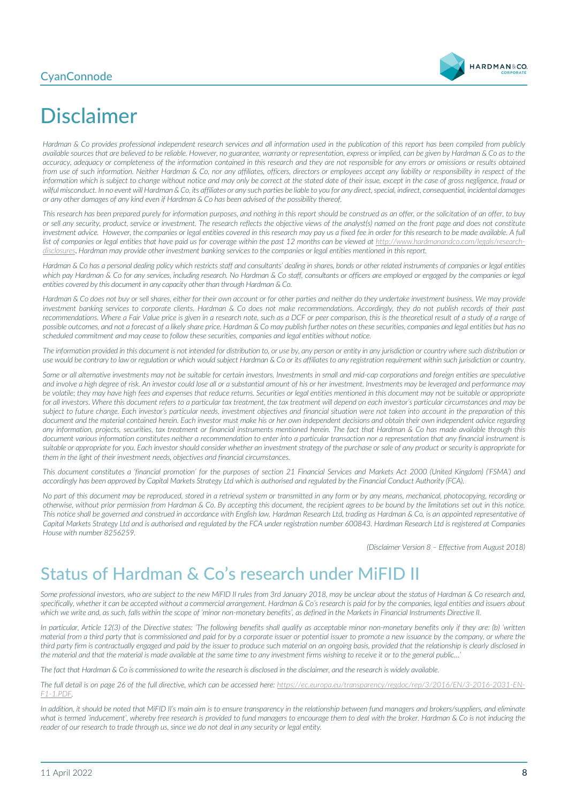#### **CyanConnode**



# Disclaimer

*Hardman & Co provides professional independent research services and all information used in the publication of this report has been compiled from publicly available sources that are believed to be reliable. However, no guarantee, warranty or representation, express or implied, can be given by Hardman & Co as to the accuracy, adequacy or completeness of the information contained in this research and they are not responsible for any errors or omissions or results obtained from use of such information. Neither Hardman & Co, nor any affiliates, officers, directors or employees accept any liability or responsibility in respect of the information which is subject to change without notice and may only be correct at the stated date of their issue, except in the case of gross negligence, fraud or wilful misconduct. In no event will Hardman & Co, its affiliates or any such parties be liable to you for any direct, special, indirect, consequential, incidental damages or any other damages of any kind even if Hardman & Co has been advised of the possibility thereof.* 

*This research has been prepared purely for information purposes, and nothing in this report should be construed as an offer, or the solicitation of an offer, to buy or sell any security, product, service or investment. The research reflects the objective views of the analyst(s) named on the front page and does not constitute*  investment advice. However, the companies or legal entities covered in this research may pay us a fixed fee in order for this research to be made available. A full list of companies or legal entities that have paid us for coverage within the past 12 months can be viewed at [http://www.hardmanandco.com/legals/research](http://www.hardmanandco.com/legals/research-disclosures)*[disclosures](http://www.hardmanandco.com/legals/research-disclosures)*. *Hardman may provide other investment banking services to the companies or legal entities mentioned in this report.*

Hardman & Co has a personal dealing policy which restricts staff and consultants' dealing in shares, bonds or other related instruments of companies or legal entities which pay Hardman & Co for any services, including research. No Hardman & Co staff, consultants or officers are employed or engaged by the companies or legal *entities covered by this document in any capacity other than through Hardman & Co.* 

*Hardman & Co does not buy or sell shares, either for their own account or for other parties and neither do they undertake investment business. We may provide investment banking services to corporate clients. Hardman & Co does not make recommendations. Accordingly, they do not publish records of their past recommendations. Where a Fair Value price is given in a research note, such as a DCF or peer comparison, this is the theoretical result of a study of a range of possible outcomes, and not a forecast of a likely share price. Hardman & Co may publish further notes on these securities, companies and legal entities but has no scheduled commitment and may cease to follow these securities, companies and legal entities without notice.*

*The information provided in this document is not intended for distribution to, or use by, any person or entity in any jurisdiction or country where such distribution or use would be contrary to law or regulation or which would subject Hardman & Co or its affiliates to any registration requirement within such jurisdiction or country.*

Some or all alternative investments may not be suitable for certain investors. Investments in small and mid-cap corporations and foreign entities are speculative *and involve a high degree of risk. An investor could lose all or a substantial amount of his or her investment. Investments may be leveraged and performance may be volatile; they may have high fees and expenses that reduce returns. Securities or legal entities mentioned in this document may not be suitable or appropriate*  for all investors. Where this document refers to a particular tax treatment, the tax treatment will depend on each investor's particular circumstances and may be subject to future change. Each investor's particular needs, investment objectives and financial situation were not taken into account in the preparation of this *document and the material contained herein. Each investor must make his or her own independent decisions and obtain their own independent advice regarding any information, projects, securities, tax treatment or financial instruments mentioned herein. The fact that Hardman & Co has made available through this document various information constitutes neither a recommendation to enter into a particular transaction nor a representation that any financial instrument is*  suitable or appropriate for you. Each investor should consider whether an investment strategy of the purchase or sale of any product or security is appropriate for *them in the light of their investment needs, objectives and financial circumstances.* 

*This document constitutes a 'financial promotion' for the purposes of section 21 Financial Services and Markets Act 2000 (United Kingdom) ('FSMA') and accordingly has been approved by Capital Markets Strategy Ltd which is authorised and regulated by the Financial Conduct Authority (FCA).* 

*No part of this document may be reproduced, stored in a retrieval system or transmitted in any form or by any means, mechanical, photocopying, recording or otherwise, without prior permission from Hardman & Co. By accepting this document, the recipient agrees to be bound by the limitations set out in this notice. This notice shall be governed and construed in accordance with English law. Hardman Research Ltd, trading as Hardman & Co, is an appointed representative of Capital Markets Strategy Ltd and is authorised and regulated by the FCA under registration number 600843. Hardman Research Ltd is registered at Companies House with number 8256259.*

*(Disclaimer Version 8 – Effective from August 2018)*

## Status of Hardman & Co's research under MiFID II

*Some professional investors, who are subject to the new MiFID II rules from 3rd January 2018, may be unclear about the status of Hardman & Co research and, specifically, whether it can be accepted without a commercial arrangement. Hardman & Co's research is paid for by the companies, legal entities and issuers about which we write and, as such, falls within the scope of 'minor non-monetary benefits', as defined in the Markets in Financial Instruments Directive II.*

*In particular, Article 12(3) of the Directive states: 'The following benefits shall qualify as acceptable minor non-monetary benefits only if they are: (b) 'written material from a third party that is commissioned and paid for by a corporate issuer or potential issuer to promote a new issuance by the company, or where the third party firm is contractually engaged and paid by the issuer to produce such material on an ongoing basis, provided that the relationship is clearly disclosed in the material and that the material is made available at the same time to any investment firms wishing to receive it or to the general public…'*

*The fact that Hardman & Co is commissioned to write the research is disclosed in the disclaimer, and the research is widely available.*

*The full detail is on page 26 of the full directive, which can be accessed here: https://ec.europa.eu/transparency/regdoc/rep/3/2016/EN/3-2016-2031-EN-F1-1.PDF.* 

In addition, it should be noted that MiFID II's main aim is to ensure transparency in the relationship between fund managers and brokers/suppliers, and eliminate what is termed 'inducement', whereby free research is provided to fund managers to encourage them to deal with the broker. Hardman & Co is not inducing the *reader of our research to trade through us, since we do not deal in any security or legal entity.*